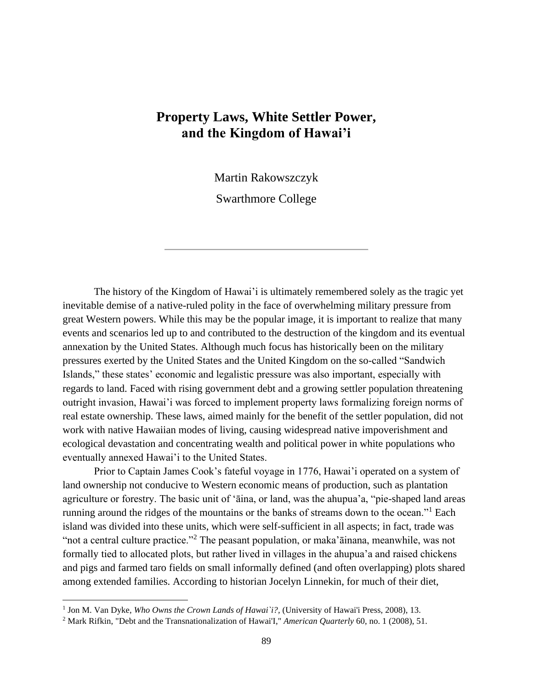## **Property Laws, White Settler Power, and the Kingdom of Hawai'i**

Martin Rakowszczyk

Swarthmore College

The history of the Kingdom of Hawai'i is ultimately remembered solely as the tragic yet inevitable demise of a native-ruled polity in the face of overwhelming military pressure from great Western powers. While this may be the popular image, it is important to realize that many events and scenarios led up to and contributed to the destruction of the kingdom and its eventual annexation by the United States. Although much focus has historically been on the military pressures exerted by the United States and the United Kingdom on the so-called "Sandwich Islands," these states' economic and legalistic pressure was also important, especially with regards to land. Faced with rising government debt and a growing settler population threatening outright invasion, Hawai'i was forced to implement property laws formalizing foreign norms of real estate ownership. These laws, aimed mainly for the benefit of the settler population, did not work with native Hawaiian modes of living, causing widespread native impoverishment and ecological devastation and concentrating wealth and political power in white populations who eventually annexed Hawai'i to the United States.

Prior to Captain James Cook's fateful voyage in 1776, Hawai'i operated on a system of land ownership not conducive to Western economic means of production, such as plantation agriculture or forestry. The basic unit of 'āina, or land, was the ahupua'a, "pie-shaped land areas running around the ridges of the mountains or the banks of streams down to the ocean."<sup>1</sup> Each island was divided into these units, which were self-sufficient in all aspects; in fact, trade was "not a central culture practice."<sup>2</sup> The peasant population, or maka ainana, meanwhile, was not formally tied to allocated plots, but rather lived in villages in the ahupua'a and raised chickens and pigs and farmed taro fields on small informally defined (and often overlapping) plots shared among extended families. According to historian Jocelyn Linnekin, for much of their diet,

<sup>&</sup>lt;sup>1</sup> Jon M. Van Dyke, *Who Owns the Crown Lands of Hawai'i?*, (University of Hawai'i Press, 2008), 13.

<sup>2</sup> Mark Rifkin, "Debt and the Transnationalization of Hawai'I," *American Quarterly* 60, no. 1 (2008), 51.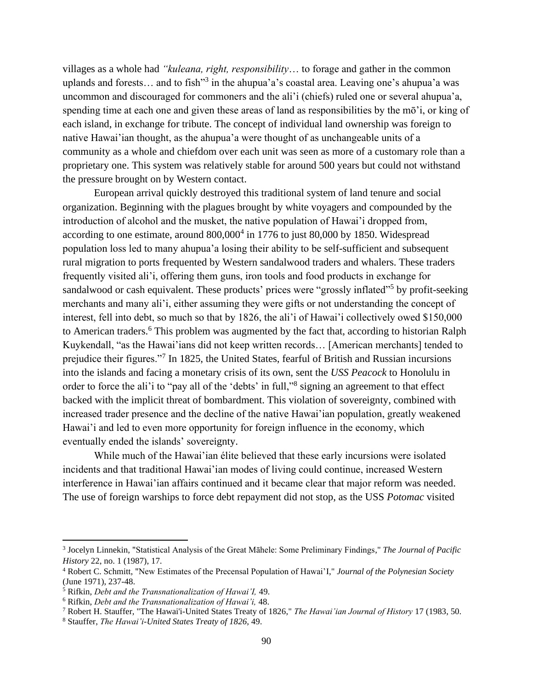villages as a whole had *"kuleana, right, responsibility*… to forage and gather in the common uplands and forests... and to fish<sup>33</sup> in the ahupua'a's coastal area. Leaving one's ahupua'a was uncommon and discouraged for commoners and the ali'i (chiefs) ruled one or several ahupua'a, spending time at each one and given these areas of land as responsibilities by the mō'i, or king of each island, in exchange for tribute. The concept of individual land ownership was foreign to native Hawai'ian thought, as the ahupua'a were thought of as unchangeable units of a community as a whole and chiefdom over each unit was seen as more of a customary role than a proprietary one. This system was relatively stable for around 500 years but could not withstand the pressure brought on by Western contact.

European arrival quickly destroyed this traditional system of land tenure and social organization. Beginning with the plagues brought by white voyagers and compounded by the introduction of alcohol and the musket, the native population of Hawai'i dropped from, according to one estimate, around  $800,000<sup>4</sup>$  in 1776 to just  $80,000$  by 1850. Widespread population loss led to many ahupua'a losing their ability to be self-sufficient and subsequent rural migration to ports frequented by Western sandalwood traders and whalers. These traders frequently visited ali'i, offering them guns, iron tools and food products in exchange for sandalwood or cash equivalent. These products' prices were "grossly inflated"<sup>5</sup> by profit-seeking merchants and many ali'i, either assuming they were gifts or not understanding the concept of interest, fell into debt, so much so that by 1826, the ali'i of Hawai'i collectively owed \$150,000 to American traders.<sup>6</sup> This problem was augmented by the fact that, according to historian Ralph Kuykendall, "as the Hawai'ians did not keep written records… [American merchants] tended to prejudice their figures."<sup>7</sup> In 1825, the United States, fearful of British and Russian incursions into the islands and facing a monetary crisis of its own, sent the *USS Peacock* to Honolulu in order to force the ali'i to "pay all of the 'debts' in full,"<sup>8</sup> signing an agreement to that effect backed with the implicit threat of bombardment. This violation of sovereignty, combined with increased trader presence and the decline of the native Hawai'ian population, greatly weakened Hawai'i and led to even more opportunity for foreign influence in the economy, which eventually ended the islands' sovereignty.

While much of the Hawai'ian élite believed that these early incursions were isolated incidents and that traditional Hawai'ian modes of living could continue, increased Western interference in Hawai'ian affairs continued and it became clear that major reform was needed. The use of foreign warships to force debt repayment did not stop, as the USS *Potomac* visited

<sup>7</sup> Robert H. Stauffer, "The Hawai'i-United States Treaty of 1826," *The Hawai'ian Journal of History* 17 (1983, 50.

<sup>3</sup> Jocelyn Linnekin, "Statistical Analysis of the Great Māhele: Some Preliminary Findings," *The Journal of Pacific History* 22, no. 1 (1987), 17.

<sup>4</sup> Robert C. Schmitt, "New Estimates of the Precensal Population of Hawai'I," *Journal of the Polynesian Society* (June 1971), 237-48.

<sup>5</sup> Rifkin, *Debt and the Transnationalization of Hawai'I,* 49.

<sup>6</sup> Rifkin, *Debt and the Transnationalization of Hawai'i,* 48.

<sup>8</sup> Stauffer, *The Hawai'i-United States Treaty of 1826,* 49.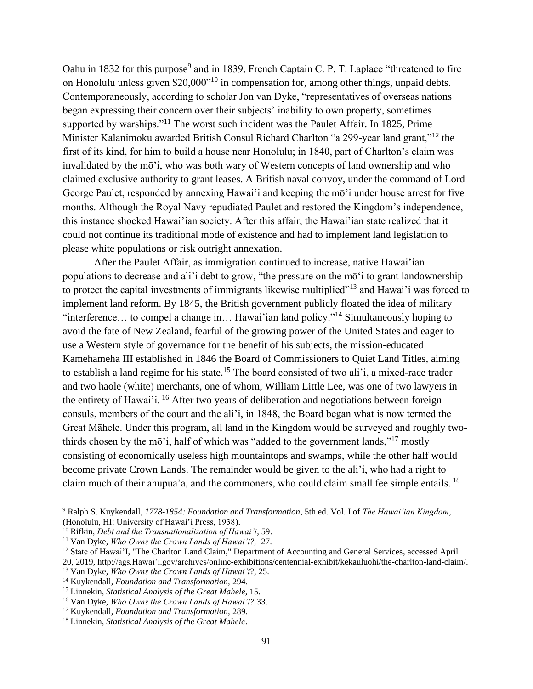Oahu in 1832 for this purpose<sup>9</sup> and in 1839, French Captain C. P. T. Laplace "threatened to fire on Honolulu unless given \$20,000"<sup>10</sup> in compensation for, among other things, unpaid debts. Contemporaneously, according to scholar Jon van Dyke, "representatives of overseas nations began expressing their concern over their subjects' inability to own property, sometimes supported by warships."<sup>11</sup> The worst such incident was the Paulet Affair. In 1825, Prime Minister Kalanimoku awarded British Consul Richard Charlton "a 299-year land grant,"<sup>12</sup> the first of its kind, for him to build a house near Honolulu; in 1840, part of Charlton's claim was invalidated by the mō'i, who was both wary of Western concepts of land ownership and who claimed exclusive authority to grant leases. A British naval convoy, under the command of Lord George Paulet, responded by annexing Hawai'i and keeping the mō'i under house arrest for five months. Although the Royal Navy repudiated Paulet and restored the Kingdom's independence, this instance shocked Hawai'ian society. After this affair, the Hawai'ian state realized that it could not continue its traditional mode of existence and had to implement land legislation to please white populations or risk outright annexation.

After the Paulet Affair, as immigration continued to increase, native Hawai'ian populations to decrease and ali'i debt to grow, "the pressure on the mō'i to grant landownership to protect the capital investments of immigrants likewise multiplied"<sup>13</sup> and Hawai'i was forced to implement land reform. By 1845, the British government publicly floated the idea of military "interference… to compel a change in… Hawai'ian land policy."<sup>14</sup> Simultaneously hoping to avoid the fate of New Zealand, fearful of the growing power of the United States and eager to use a Western style of governance for the benefit of his subjects, the mission-educated Kamehameha III established in 1846 the Board of Commissioners to Quiet Land Titles, aiming to establish a land regime for his state.<sup>15</sup> The board consisted of two ali'i, a mixed-race trader and two haole (white) merchants, one of whom, William Little Lee, was one of two lawyers in the entirety of Hawai'i. <sup>16</sup> After two years of deliberation and negotiations between foreign consuls, members of the court and the ali'i, in 1848, the Board began what is now termed the Great Māhele. Under this program, all land in the Kingdom would be surveyed and roughly twothirds chosen by the mō'i, half of which was "added to the government lands,"<sup>17</sup> mostly consisting of economically useless high mountaintops and swamps, while the other half would become private Crown Lands. The remainder would be given to the ali'i, who had a right to claim much of their ahupua'a, and the commoners, who could claim small fee simple entails. <sup>18</sup>

<sup>9</sup> Ralph S. Kuykendall, *1778-1854: Foundation and Transformation*, 5th ed. Vol. I of *The Hawai'ian Kingdom*, (Honolulu, HI: University of Hawai'i Press, 1938).

<sup>10</sup> Rifkin, *Debt and the Transnationalization of Hawai'i*, 59.

<sup>11</sup> Van Dyke, *Who Owns the Crown Lands of Hawai'i?,* 27.

<sup>&</sup>lt;sup>12</sup> State of Hawai'I, "The Charlton Land Claim," Department of Accounting and General Services, accessed April 20, 2019, http://ags.Hawai'i.gov/archives/online-exhibitions/centennial-exhibit/kekauluohi/the-charlton-land-claim/.

<sup>13</sup> Van Dyke, *Who Owns the Crown Lands of Hawai'i*?, 25.

<sup>14</sup> Kuykendall, *Foundation and Transformation,* 294.

<sup>15</sup> Linnekin, *Statistical Analysis of the Great Mahele*, 15.

<sup>16</sup> Van Dyke, *Who Owns the Crown Lands of Hawai'i?* 33.

<sup>17</sup> Kuykendall, *Foundation and Transformation,* 289.

<sup>18</sup> Linnekin, *Statistical Analysis of the Great Mahele*.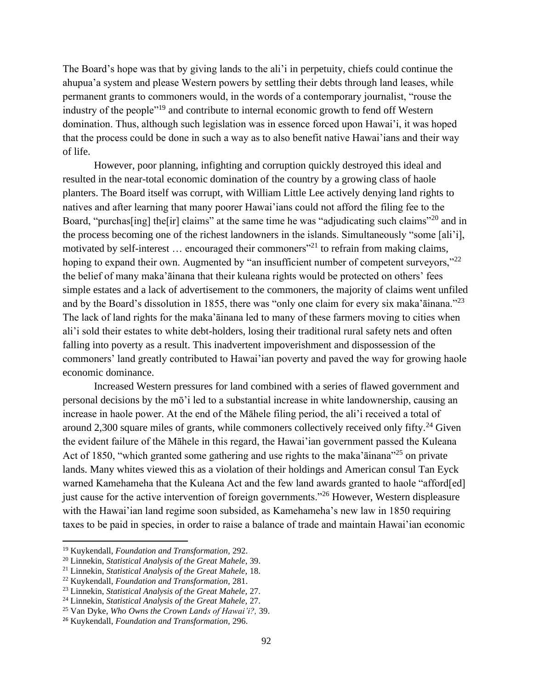The Board's hope was that by giving lands to the ali'i in perpetuity, chiefs could continue the ahupua'a system and please Western powers by settling their debts through land leases, while permanent grants to commoners would, in the words of a contemporary journalist, "rouse the industry of the people<sup>"19</sup> and contribute to internal economic growth to fend off Western domination. Thus, although such legislation was in essence forced upon Hawai'i, it was hoped that the process could be done in such a way as to also benefit native Hawai'ians and their way of life.

However, poor planning, infighting and corruption quickly destroyed this ideal and resulted in the near-total economic domination of the country by a growing class of haole planters. The Board itself was corrupt, with William Little Lee actively denying land rights to natives and after learning that many poorer Hawai'ians could not afford the filing fee to the Board, "purchas<sup>[ing]</sup> the<sup>[ir]</sup> claims" at the same time he was "adjudicating such claims"<sup>20</sup> and in the process becoming one of the richest landowners in the islands. Simultaneously "some [ali'i], motivated by self-interest  $\ldots$  encouraged their commoners<sup>"21</sup> to refrain from making claims, hoping to expand their own. Augmented by "an insufficient number of competent surveyors,"<sup>22</sup> the belief of many maka'āinana that their kuleana rights would be protected on others' fees simple estates and a lack of advertisement to the commoners, the majority of claims went unfiled and by the Board's dissolution in 1855, there was "only one claim for every six maka'āinana."<sup>23</sup> The lack of land rights for the maka'āinana led to many of these farmers moving to cities when ali'i sold their estates to white debt-holders, losing their traditional rural safety nets and often falling into poverty as a result. This inadvertent impoverishment and dispossession of the commoners' land greatly contributed to Hawai'ian poverty and paved the way for growing haole economic dominance.

Increased Western pressures for land combined with a series of flawed government and personal decisions by the mō'i led to a substantial increase in white landownership, causing an increase in haole power. At the end of the Māhele filing period, the ali'i received a total of around 2,300 square miles of grants, while commoners collectively received only fifty.<sup>24</sup> Given the evident failure of the Māhele in this regard, the Hawai'ian government passed the Kuleana Act of 1850, "which granted some gathering and use rights to the maka a ainana"<sup>25</sup> on private lands. Many whites viewed this as a violation of their holdings and American consul Tan Eyck warned Kamehameha that the Kuleana Act and the few land awards granted to haole "afford[ed] just cause for the active intervention of foreign governments."<sup>26</sup> However, Western displeasure with the Hawai'ian land regime soon subsided, as Kamehameha's new law in 1850 requiring taxes to be paid in species, in order to raise a balance of trade and maintain Hawai'ian economic

<sup>19</sup> Kuykendall, *Foundation and Transformation,* 292.

<sup>20</sup> Linnekin, *Statistical Analysis of the Great Mahele,* 39.

<sup>21</sup> Linnekin, *Statistical Analysis of the Great Mahele,* 18.

<sup>22</sup> Kuykendall, *Foundation and Transformation,* 281.

<sup>23</sup> Linnekin, *Statistical Analysis of the Great Mahele,* 27.

<sup>24</sup> Linnekin, *Statistical Analysis of the Great Mahele,* 27.

<sup>25</sup> Van Dyke, *Who Owns the Crown Lands of Hawai'i?,* 39.

<sup>26</sup> Kuykendall, *Foundation and Transformation,* 296.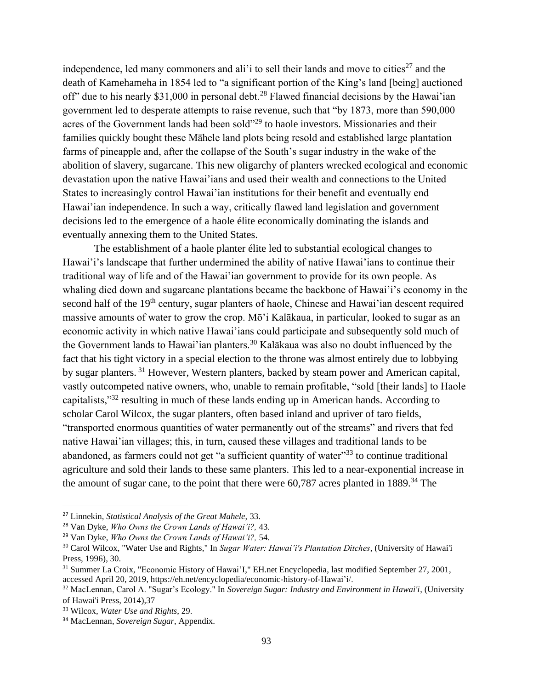independence, led many commoners and ali'i to sell their lands and move to cities<sup>27</sup> and the death of Kamehameha in 1854 led to "a significant portion of the King's land [being] auctioned off" due to his nearly \$31,000 in personal debt.<sup>28</sup> Flawed financial decisions by the Hawai'ian government led to desperate attempts to raise revenue, such that "by 1873, more than 590,000 acres of the Government lands had been sold"<sup>29</sup> to haole investors. Missionaries and their families quickly bought these Māhele land plots being resold and established large plantation farms of pineapple and, after the collapse of the South's sugar industry in the wake of the abolition of slavery, sugarcane. This new oligarchy of planters wrecked ecological and economic devastation upon the native Hawai'ians and used their wealth and connections to the United States to increasingly control Hawai'ian institutions for their benefit and eventually end Hawai'ian independence. In such a way, critically flawed land legislation and government decisions led to the emergence of a haole élite economically dominating the islands and eventually annexing them to the United States.

The establishment of a haole planter élite led to substantial ecological changes to Hawai'i's landscape that further undermined the ability of native Hawai'ians to continue their traditional way of life and of the Hawai'ian government to provide for its own people. As whaling died down and sugarcane plantations became the backbone of Hawai'i's economy in the second half of the 19<sup>th</sup> century, sugar planters of haole, Chinese and Hawai'ian descent required massive amounts of water to grow the crop. Mō'i Kalākaua, in particular, looked to sugar as an economic activity in which native Hawai'ians could participate and subsequently sold much of the Government lands to Hawai'ian planters.<sup>30</sup> Kalākaua was also no doubt influenced by the fact that his tight victory in a special election to the throne was almost entirely due to lobbying by sugar planters. <sup>31</sup> However, Western planters, backed by steam power and American capital, vastly outcompeted native owners, who, unable to remain profitable, "sold [their lands] to Haole capitalists,"<sup>32</sup> resulting in much of these lands ending up in American hands. According to scholar Carol Wilcox, the sugar planters, often based inland and upriver of taro fields, "transported enormous quantities of water permanently out of the streams" and rivers that fed native Hawai'ian villages; this, in turn, caused these villages and traditional lands to be abandoned, as farmers could not get "a sufficient quantity of water"<sup>33</sup> to continue traditional agriculture and sold their lands to these same planters. This led to a near-exponential increase in the amount of sugar cane, to the point that there were  $60,787$  acres planted in 1889.<sup>34</sup> The

<sup>27</sup> Linnekin, *Statistical Analysis of the Great Mahele,* 33.

<sup>28</sup> Van Dyke, *Who Owns the Crown Lands of Hawai'i?,* 43.

<sup>29</sup> Van Dyke, *Who Owns the Crown Lands of Hawai'i?,* 54.

<sup>30</sup> Carol Wilcox, "Water Use and Rights," In *Sugar Water: Hawai'i's Plantation Ditches*, (University of Hawai'i Press, 1996), 30.

<sup>31</sup> Summer La Croix, "Economic History of Hawai'I," EH.net Encyclopedia, last modified September 27, 2001, accessed April 20, 2019, https://eh.net/encyclopedia/economic-history-of-Hawai'i/.

<sup>32</sup> MacLennan, Carol A. "Sugar's Ecology." In *Sovereign Sugar: Industry and Environment in Hawai'i*, (University of Hawai'i Press, 2014),37

<sup>33</sup> Wilcox, *Water Use and Rights*, 29.

<sup>34</sup> MacLennan, *Sovereign Sugar*, Appendix.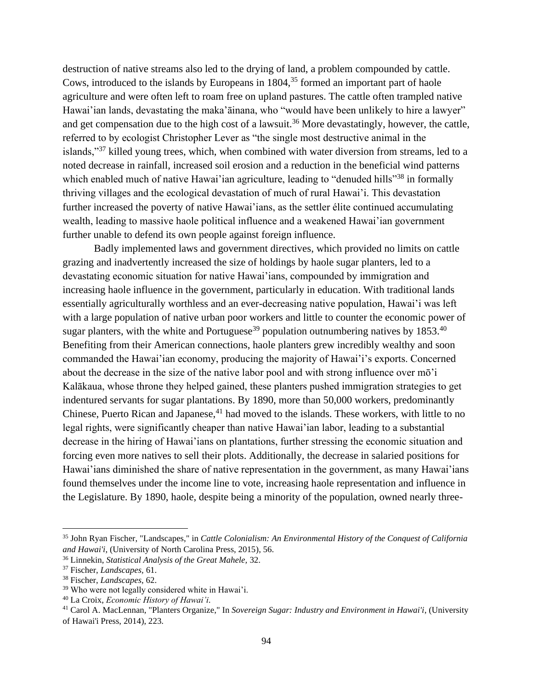destruction of native streams also led to the drying of land, a problem compounded by cattle. Cows, introduced to the islands by Europeans in 1804,<sup>35</sup> formed an important part of haole agriculture and were often left to roam free on upland pastures. The cattle often trampled native Hawai'ian lands, devastating the maka'āinana, who "would have been unlikely to hire a lawyer" and get compensation due to the high cost of a lawsuit.<sup>36</sup> More devastatingly, however, the cattle, referred to by ecologist Christopher Lever as "the single most destructive animal in the islands,"<sup>37</sup> killed young trees, which, when combined with water diversion from streams, led to a noted decrease in rainfall, increased soil erosion and a reduction in the beneficial wind patterns which enabled much of native Hawai'ian agriculture, leading to "denuded hills"<sup>38</sup> in formally thriving villages and the ecological devastation of much of rural Hawai'i. This devastation further increased the poverty of native Hawai'ians, as the settler élite continued accumulating wealth, leading to massive haole political influence and a weakened Hawai'ian government further unable to defend its own people against foreign influence.

Badly implemented laws and government directives, which provided no limits on cattle grazing and inadvertently increased the size of holdings by haole sugar planters, led to a devastating economic situation for native Hawai'ians, compounded by immigration and increasing haole influence in the government, particularly in education. With traditional lands essentially agriculturally worthless and an ever-decreasing native population, Hawai'i was left with a large population of native urban poor workers and little to counter the economic power of sugar planters, with the white and Portuguese<sup>39</sup> population outnumbering natives by  $1853^{40}$ Benefiting from their American connections, haole planters grew incredibly wealthy and soon commanded the Hawai'ian economy, producing the majority of Hawai'i's exports. Concerned about the decrease in the size of the native labor pool and with strong influence over mō'i Kalākaua, whose throne they helped gained, these planters pushed immigration strategies to get indentured servants for sugar plantations. By 1890, more than 50,000 workers, predominantly Chinese, Puerto Rican and Japanese,  $41$  had moved to the islands. These workers, with little to no legal rights, were significantly cheaper than native Hawai'ian labor, leading to a substantial decrease in the hiring of Hawai'ians on plantations, further stressing the economic situation and forcing even more natives to sell their plots. Additionally, the decrease in salaried positions for Hawai'ians diminished the share of native representation in the government, as many Hawai'ians found themselves under the income line to vote, increasing haole representation and influence in the Legislature. By 1890, haole, despite being a minority of the population, owned nearly three-

<sup>35</sup> John Ryan Fischer, "Landscapes," in *Cattle Colonialism: An Environmental History of the Conquest of California and Hawai'i*, (University of North Carolina Press, 2015), 56.

<sup>36</sup> Linnekin, *Statistical Analysis of the Great Mahele,* 32.

<sup>37</sup> Fischer, *Landscapes,* 61.

<sup>38</sup> Fischer, *Landscapes*, 62.

<sup>39</sup> Who were not legally considered white in Hawai'i.

<sup>40</sup> La Croix, *Economic History of Hawai'i.*

<sup>41</sup> Carol A. MacLennan, "Planters Organize," In *Sovereign Sugar: Industry and Environment in Hawai'i*, (University of Hawai'i Press, 2014), 223.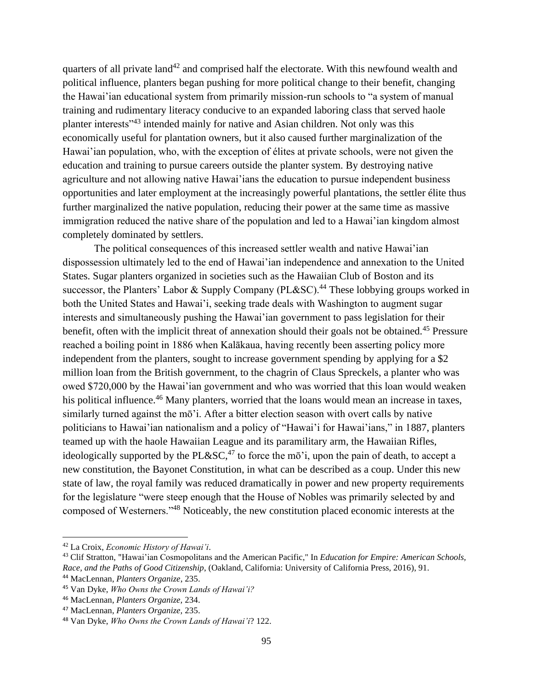quarters of all private land<sup>42</sup> and comprised half the electorate. With this newfound wealth and political influence, planters began pushing for more political change to their benefit, changing the Hawai'ian educational system from primarily mission-run schools to "a system of manual training and rudimentary literacy conducive to an expanded laboring class that served haole planter interests"<sup>43</sup> intended mainly for native and Asian children. Not only was this economically useful for plantation owners, but it also caused further marginalization of the Hawai'ian population, who, with the exception of élites at private schools, were not given the education and training to pursue careers outside the planter system. By destroying native agriculture and not allowing native Hawai'ians the education to pursue independent business opportunities and later employment at the increasingly powerful plantations, the settler élite thus further marginalized the native population, reducing their power at the same time as massive immigration reduced the native share of the population and led to a Hawai'ian kingdom almost completely dominated by settlers.

The political consequences of this increased settler wealth and native Hawai'ian dispossession ultimately led to the end of Hawai'ian independence and annexation to the United States. Sugar planters organized in societies such as the Hawaiian Club of Boston and its successor, the Planters' Labor & Supply Company (PL&SC).<sup>44</sup> These lobbying groups worked in both the United States and Hawai'i, seeking trade deals with Washington to augment sugar interests and simultaneously pushing the Hawai'ian government to pass legislation for their benefit, often with the implicit threat of annexation should their goals not be obtained.<sup>45</sup> Pressure reached a boiling point in 1886 when Kalākaua, having recently been asserting policy more independent from the planters, sought to increase government spending by applying for a \$2 million loan from the British government, to the chagrin of Claus Spreckels, a planter who was owed \$720,000 by the Hawai'ian government and who was worried that this loan would weaken his political influence.<sup>46</sup> Many planters, worried that the loans would mean an increase in taxes, similarly turned against the mō'i. After a bitter election season with overt calls by native politicians to Hawai'ian nationalism and a policy of "Hawai'i for Hawai'ians," in 1887, planters teamed up with the haole Hawaiian League and its paramilitary arm, the Hawaiian Rifles, ideologically supported by the PL&SC,<sup>47</sup> to force the mō'i, upon the pain of death, to accept a new constitution, the Bayonet Constitution, in what can be described as a coup. Under this new state of law, the royal family was reduced dramatically in power and new property requirements for the legislature "were steep enough that the House of Nobles was primarily selected by and composed of Westerners."<sup>48</sup> Noticeably, the new constitution placed economic interests at the

<sup>42</sup> La Croix, *Economic History of Hawai'i*.

<sup>43</sup> Clif Stratton, "Hawai'ian Cosmopolitans and the American Pacific," In *Education for Empire: American Schools, Race, and the Paths of Good Citizenship*, (Oakland, California: University of California Press, 2016), 91.

<sup>44</sup> MacLennan, *Planters Organize*, 235.

<sup>45</sup> Van Dyke, *Who Owns the Crown Lands of Hawai'i?*

<sup>46</sup> MacLennan, *Planters Organize,* 234.

<sup>47</sup> MacLennan, *Planters Organize,* 235.

<sup>48</sup> Van Dyke, *Who Owns the Crown Lands of Hawai'i*? 122.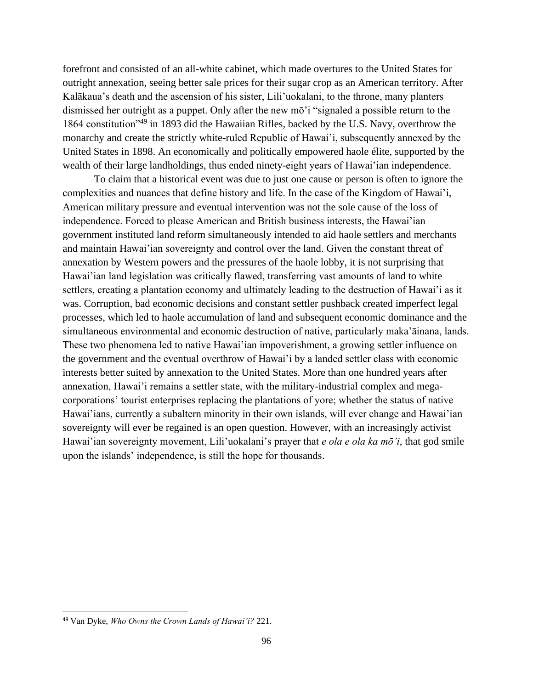forefront and consisted of an all-white cabinet, which made overtures to the United States for outright annexation, seeing better sale prices for their sugar crop as an American territory. After Kalākaua's death and the ascension of his sister, Lili'uokalani, to the throne, many planters dismissed her outright as a puppet. Only after the new mō'i "signaled a possible return to the 1864 constitution"<sup>49</sup> in 1893 did the Hawaiian Rifles, backed by the U.S. Navy, overthrow the monarchy and create the strictly white-ruled Republic of Hawai'i, subsequently annexed by the United States in 1898. An economically and politically empowered haole élite, supported by the wealth of their large landholdings, thus ended ninety-eight years of Hawai'ian independence.

To claim that a historical event was due to just one cause or person is often to ignore the complexities and nuances that define history and life. In the case of the Kingdom of Hawai'i, American military pressure and eventual intervention was not the sole cause of the loss of independence. Forced to please American and British business interests, the Hawai'ian government instituted land reform simultaneously intended to aid haole settlers and merchants and maintain Hawai'ian sovereignty and control over the land. Given the constant threat of annexation by Western powers and the pressures of the haole lobby, it is not surprising that Hawai'ian land legislation was critically flawed, transferring vast amounts of land to white settlers, creating a plantation economy and ultimately leading to the destruction of Hawai'i as it was. Corruption, bad economic decisions and constant settler pushback created imperfect legal processes, which led to haole accumulation of land and subsequent economic dominance and the simultaneous environmental and economic destruction of native, particularly maka'āinana, lands. These two phenomena led to native Hawai'ian impoverishment, a growing settler influence on the government and the eventual overthrow of Hawai'i by a landed settler class with economic interests better suited by annexation to the United States. More than one hundred years after annexation, Hawai'i remains a settler state, with the military-industrial complex and megacorporations' tourist enterprises replacing the plantations of yore; whether the status of native Hawai'ians, currently a subaltern minority in their own islands, will ever change and Hawai'ian sovereignty will ever be regained is an open question. However, with an increasingly activist Hawai'ian sovereignty movement, Lili'uokalani's prayer that *e ola e ola ka mō'i*, that god smile upon the islands' independence, is still the hope for thousands.

<sup>49</sup> Van Dyke, *Who Owns the Crown Lands of Hawai'i?* 221.